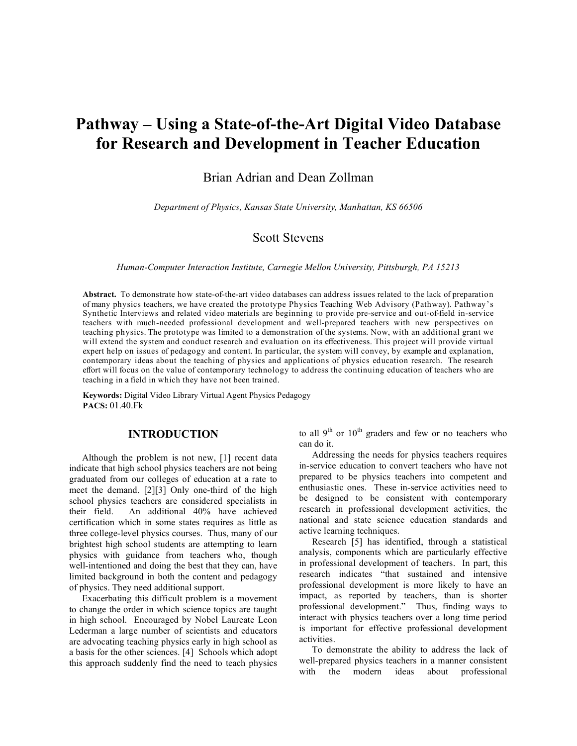# **Pathway – Using a State-of-the-Art Digital Video Database for Research and Development in Teacher Education**

## Brian Adrian and Dean Zollman

*Department of Physics, Kansas State University, Manhattan, KS 66506*

## Scott Stevens

*Human-Computer Interaction Institute, Carnegie Mellon University, Pittsburgh, PA 15213*

**Abstract.** To demonstrate how state-of-the-art video databases can address issues related to the lack of preparation of many physics teachers, we have created the prototype Physics Teaching Web Advisory (Pathway). Pathway's Synthetic Interviews and related video materials are beginning to provide pre-service and out-of-field in-service teachers with much-needed professional development and well-prepared teachers with new perspectives on teaching physics. The prototype was limited to a demonstration of the systems. Now, with an additional grant we will extend the system and conduct research and evaluation on its effectiveness. This project will provide virtual expert help on issues of pedagogy and content. In particular, the system will convey, by example and explanation, contemporary ideas about the teaching of physics and applications of physics education research. The research effort will focus on the value of contemporary technology to address the continuing education of teachers who are teaching in a field in which they have not been trained.

**Keywords:** Digital Video Library Virtual Agent Physics Pedagogy **PACS:** 01.40.Fk

#### **INTRODUCTION**

Although the problem is not new, [1] recent data indicate that high school physics teachers are not being graduated from our colleges of education at a rate to meet the demand. [2][3] Only one-third of the high school physics teachers are considered specialists in their field. An additional 40% have achieved certification which in some states requires as little as three college-level physics courses. Thus, many of our brightest high school students are attempting to learn physics with guidance from teachers who, though well-intentioned and doing the best that they can, have limited background in both the content and pedagogy of physics. They need additional support.

Exacerbating this difficult problem is a movement to change the order in which science topics are taught in high school. Encouraged by Nobel Laureate Leon Lederman a large number of scientists and educators are advocating teaching physics early in high school as a basis for the other sciences. [4] Schools which adopt this approach suddenly find the need to teach physics

to all  $9<sup>th</sup>$  or  $10<sup>th</sup>$  graders and few or no teachers who can do it.

Addressing the needs for physics teachers requires in-service education to convert teachers who have not prepared to be physics teachers into competent and enthusiastic ones. These in-service activities need to be designed to be consistent with contemporary research in professional development activities, the national and state science education standards and active learning techniques.

Research [5] has identified, through a statistical analysis, components which are particularly effective in professional development of teachers. In part, this research indicates "that sustained and intensive professional development is more likely to have an impact, as reported by teachers, than is shorter professional development." Thus, finding ways to interact with physics teachers over a long time period is important for effective professional development activities.

To demonstrate the ability to address the lack of well-prepared physics teachers in a manner consistent<br>with the modern ideas about professional with the modern ideas about professional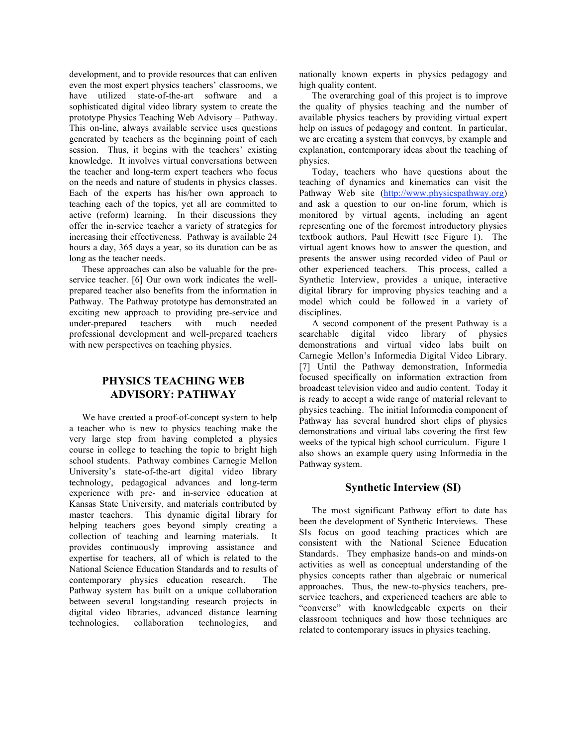development, and to provide resources that can enliven even the most expert physics teachers' classrooms, we have utilized state-of-the-art software and a sophisticated digital video library system to create the prototype Physics Teaching Web Advisory – Pathway. This on-line, always available service uses questions generated by teachers as the beginning point of each session. Thus, it begins with the teachers' existing knowledge. It involves virtual conversations between the teacher and long-term expert teachers who focus on the needs and nature of students in physics classes. Each of the experts has his/her own approach to teaching each of the topics, yet all are committed to active (reform) learning. In their discussions they offer the in-service teacher a variety of strategies for increasing their effectiveness. Pathway is available 24 hours a day, 365 days a year, so its duration can be as long as the teacher needs.

These approaches can also be valuable for the preservice teacher. [6] Our own work indicates the wellprepared teacher also benefits from the information in Pathway. The Pathway prototype has demonstrated an exciting new approach to providing pre-service and under-prepared teachers with much needed professional development and well-prepared teachers with new perspectives on teaching physics.

#### **PHYSICS TEACHING WEB ADVISORY: PATHWAY**

We have created a proof-of-concept system to help a teacher who is new to physics teaching make the very large step from having completed a physics course in college to teaching the topic to bright high school students. Pathway combines Carnegie Mellon University's state-of-the-art digital video library technology, pedagogical advances and long-term experience with pre- and in-service education at Kansas State University, and materials contributed by master teachers. This dynamic digital library for helping teachers goes beyond simply creating a collection of teaching and learning materials. It provides continuously improving assistance and expertise for teachers, all of which is related to the National Science Education Standards and to results of contemporary physics education research. The Pathway system has built on a unique collaboration between several longstanding research projects in digital video libraries, advanced distance learning technologies, collaboration technologies, and

nationally known experts in physics pedagogy and high quality content.

The overarching goal of this project is to improve the quality of physics teaching and the number of available physics teachers by providing virtual expert help on issues of pedagogy and content. In particular, we are creating a system that conveys, by example and explanation, contemporary ideas about the teaching of physics.

Today, teachers who have questions about the teaching of dynamics and kinematics can visit the Pathway Web site (http://www.physicspathway.org) and ask a question to our on-line forum, which is monitored by virtual agents, including an agent representing one of the foremost introductory physics textbook authors, Paul Hewitt (see Figure 1). The virtual agent knows how to answer the question, and presents the answer using recorded video of Paul or other experienced teachers. This process, called a Synthetic Interview, provides a unique, interactive digital library for improving physics teaching and a model which could be followed in a variety of disciplines.

A second component of the present Pathway is a searchable digital video library of physics demonstrations and virtual video labs built on Carnegie Mellon's Informedia Digital Video Library. [7] Until the Pathway demonstration, Informedia focused specifically on information extraction from broadcast television video and audio content. Today it is ready to accept a wide range of material relevant to physics teaching. The initial Informedia component of Pathway has several hundred short clips of physics demonstrations and virtual labs covering the first few weeks of the typical high school curriculum. Figure 1 also shows an example query using Informedia in the Pathway system.

#### **Synthetic Interview (SI)**

The most significant Pathway effort to date has been the development of Synthetic Interviews. These SIs focus on good teaching practices which are consistent with the National Science Education Standards. They emphasize hands-on and minds-on activities as well as conceptual understanding of the physics concepts rather than algebraic or numerical approaches. Thus, the new-to-physics teachers, preservice teachers, and experienced teachers are able to "converse" with knowledgeable experts on their classroom techniques and how those techniques are related to contemporary issues in physics teaching.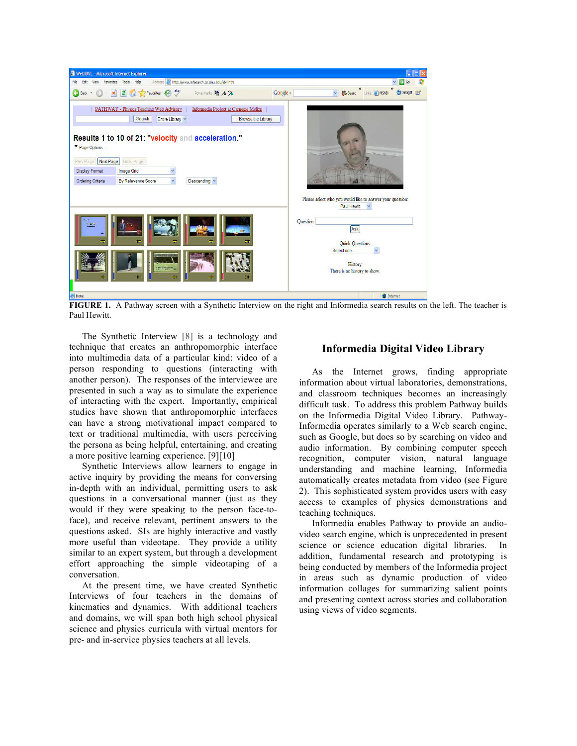

**FIGURE 1.** A Pathway screen with a Synthetic Interview on the right and Informedia search results on the left. The teacher is Paul Hewitt.

The Synthetic Interview [8] is a technology and technique that creates an anthropomorphic interface into multimedia data of a particular kind: video of a person responding to questions (interacting with another person). The responses of the interviewee are presented in such a way as to simulate the experience of interacting with the expert. Importantly, empirical studies have shown that anthropomorphic interfaces can have a strong motivational impact compared to text or traditional multimedia, with users perceiving the persona as being helpful, entertaining, and creating a more positive learning experience. [9][10]

Synthetic Interviews allow learners to engage in active inquiry by providing the means for conversing in-depth with an individual, permitting users to ask questions in a conversational manner (just as they would if they were speaking to the person face-toface), and receive relevant, pertinent answers to the questions asked. SIs are highly interactive and vastly more useful than videotape. They provide a utility similar to an expert system, but through a development effort approaching the simple videotaping of a conversation.

At the present time, we have created Synthetic Interviews of four teachers in the domains of kinematics and dynamics. With additional teachers and domains, we will span both high school physical science and physics curricula with virtual mentors for pre- and in-service physics teachers at all levels.

#### **Informedia Digital Video Library**

As the Internet grows, finding appropriate information about virtual laboratories, demonstrations, and classroom techniques becomes an increasingly difficult task. To address this problem Pathway builds on the Informedia Digital Video Library. Pathway-Informedia operates similarly to a Web search engine, such as Google, but does so by searching on video and audio information. By combining computer speech recognition, computer vision, natural language understanding and machine learning, Informedia automatically creates metadata from video (see Figure 2). This sophisticated system provides users with easy access to examples of physics demonstrations and teaching techniques.

Informedia enables Pathway to provide an audiovideo search engine, which is unprecedented in present science or science education digital libraries. In addition, fundamental research and prototyping is being conducted by members of the Informedia project in areas such as dynamic production of video information collages for summarizing salient points and presenting context across stories and collaboration using views of video segments.